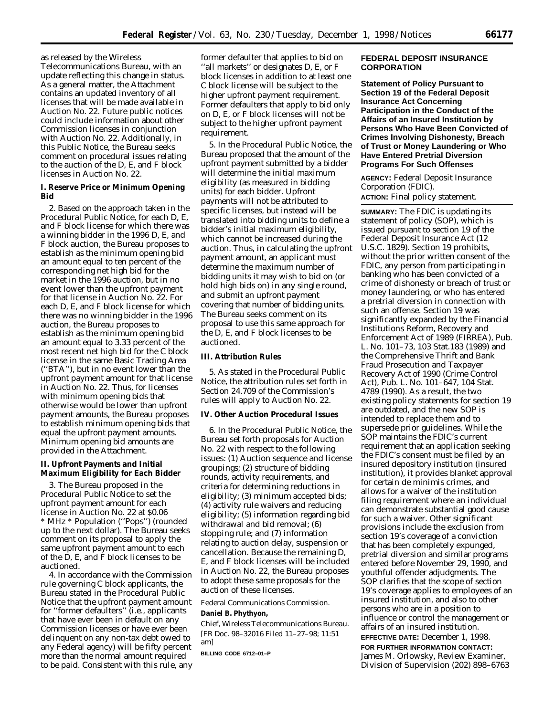as released by the Wireless Telecommunications Bureau, with an update reflecting this change in status. As a general matter, the Attachment contains an updated inventory of all licenses that will be made available in Auction No. 22. Future public notices could include information about other Commission licenses in conjunction with Auction No. 22. Additionally, in this Public Notice, the Bureau seeks comment on procedural issues relating to the auction of the D, E, and F block licenses in Auction No. 22.

# **I. Reserve Price or Minimum Opening Bid**

2. Based on the approach taken in the *Procedural Public Notice,* for each D, E, and F block license for which there was a winning bidder in the 1996 D, E, and F block auction, the Bureau proposes to establish as the minimum opening bid an amount equal to ten percent of the corresponding net high bid for the market in the 1996 auction, but in no event lower than the upfront payment for that license in Auction No. 22. For each D, E, and F block license for which there was no winning bidder in the 1996 auction, the Bureau proposes to establish as the minimum opening bid an amount equal to 3.33 percent of the most recent net high bid for the C block license in the same Basic Trading Area (''BTA''), but in no event lower than the upfront payment amount for that license in Auction No. 22. Thus, for licenses with minimum opening bids that otherwise would be lower than upfront payment amounts, the Bureau proposes to establish minimum opening bids that equal the upfront payment amounts. Minimum opening bid amounts are provided in the Attachment.

### **II. Upfront Payments and Initial Maximum Eligibility for Each Bidder**

3. The Bureau proposed in the *Procedural Public Notice* to set the upfront payment amount for each license in Auction No. 22 at \$0.06 \* MHz \* Population (''Pops'') (rounded up to the next dollar). The Bureau seeks comment on its proposal to apply the same upfront payment amount to each of the D, E, and F block licenses to be auctioned.

4. In accordance with the Commission rule governing C block applicants, the Bureau stated in the *Procedural Public Notice* that the upfront payment amount for ''former defaulters'' (i.e., applicants that have ever been in default on any Commission licenses or have ever been delinquent on any non-tax debt owed to any Federal agency) will be fifty percent more than the normal amount required to be paid. Consistent with this rule, any former defaulter that applies to bid on ''all markets'' or designates D, E, or F block licenses *in addition to* at least one C block license will be subject to the higher upfront payment requirement. Former defaulters that apply to bid *only* on D, E, or F block licenses will not be subject to the higher upfront payment requirement.

5. In the *Procedural Public Notice,* the Bureau proposed that the amount of the upfront payment submitted by a bidder will determine the initial maximum eligibility (as measured in bidding units) for each bidder. Upfront payments will not be attributed to specific licenses, but instead will be translated into bidding units to define a bidder's initial maximum eligibility, which cannot be increased during the auction. Thus, in calculating the upfront payment amount, an applicant must determine the *maximum* number of bidding units it may wish to bid on (or hold high bids on) in any single round, and submit an upfront payment covering that number of bidding units. The Bureau seeks comment on its proposal to use this same approach for the D, E, and F block licenses to be auctioned.

# **III. Attribution Rules**

5. As stated in the *Procedural Public Notice,* the attribution rules set forth in Section 24.709 of the Commission's rules will apply to Auction No. 22.

## **IV. Other Auction Procedural Issues**

6. In the *Procedural Public Notice,* the Bureau set forth proposals for Auction No. 22 with respect to the following issues: (1) Auction sequence and license groupings; (2) structure of bidding rounds, activity requirements, and criteria for determining reductions in eligibility; (3) minimum accepted bids; (4) activity rule waivers and reducing eligibility; (5) information regarding bid withdrawal and bid removal; (6) stopping rule; and (7) information relating to auction delay, suspension or cancellation. Because the remaining D, E, and F block licenses will be included in Auction No. 22, the Bureau proposes to adopt these same proposals for the auction of these licenses.

Federal Communications Commission.

### **Daniel B. Phythyon,**

*Chief, Wireless Telecommunications Bureau.* [FR Doc. 98–32016 Filed 11–27–98; 11:51 am]

**BILLING CODE 6712–01–P**

### **FEDERAL DEPOSIT INSURANCE CORPORATION**

**Statement of Policy Pursuant to Section 19 of the Federal Deposit Insurance Act Concerning Participation in the Conduct of the Affairs of an Insured Institution by Persons Who Have Been Convicted of Crimes Involving Dishonesty, Breach of Trust or Money Laundering or Who Have Entered Pretrial Diversion Programs For Such Offenses**

**AGENCY:** Federal Deposit Insurance Corporation (FDIC). **ACTION:** Final policy statement.

**SUMMARY:** The FDIC is updating its statement of policy (SOP), which is issued pursuant to section 19 of the Federal Deposit Insurance Act (12 U.S.C. 1829). Section 19 prohibits, without the prior written consent of the FDIC, any person from participating in banking who has been convicted of a crime of dishonesty or breach of trust or money laundering, or who has entered a pretrial diversion in connection with such an offense. Section 19 was significantly expanded by the Financial Institutions Reform, Recovery and Enforcement Act of 1989 (FIRREA), Pub. L. No. 101–73, 103 Stat.183 (1989) and the Comprehensive Thrift and Bank Fraud Prosecution and Taxpayer Recovery Act of 1990 (Crime Control Act), Pub. L. No. 101–647, 104 Stat. 4789 (1990). As a result, the two existing policy statements for section 19 are outdated, and the new SOP is intended to replace them and to supersede prior guidelines. While the SOP maintains the FDIC's current requirement that an application seeking the FDIC's consent must be filed by an insured depository institution (insured institution), it provides blanket approval for certain de minimis crimes, and allows for a waiver of the institution filing requirement where an individual can demonstrate substantial good cause for such a waiver. Other significant provisions include the exclusion from section 19's coverage of a conviction that has been completely expunged, pretrial diversion and similar programs entered before November 29, 1990, and youthful offender adjudgments. The SOP clarifies that the scope of section 19's coverage applies to employees of an insured institution, and also to other persons who are in a position to influence or control the management or affairs of an insured institution. **EFFECTIVE DATE:** December 1, 1998. **FOR FURTHER INFORMATION CONTACT:**

James M. Orlowsky, Review Examiner, Division of Supervision (202) 898–6763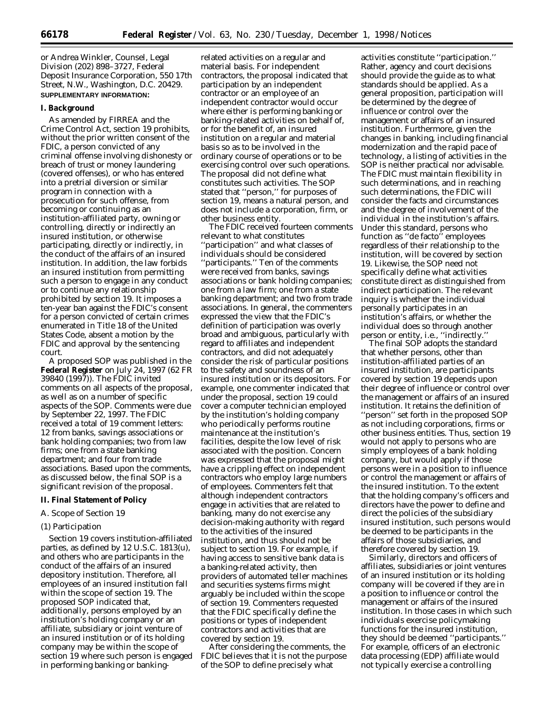or Andrea Winkler, Counsel, Legal Division (202) 898–3727, Federal Deposit Insurance Corporation, 550 17th Street, N.W., Washington, D.C. 20429. **SUPPLEMENTARY INFORMATION:**

#### **I. Background**

As amended by FIRREA and the Crime Control Act, section 19 prohibits, without the prior written consent of the FDIC, a person convicted of any criminal offense involving dishonesty or breach of trust or money laundering (covered offenses), or who has entered into a pretrial diversion or similar program in connection with a prosecution for such offense, from becoming or continuing as an institution-affiliated party, owning or controlling, directly or indirectly an insured institution, or otherwise participating, directly or indirectly, in the conduct of the affairs of an insured institution. In addition, the law forbids an insured institution from permitting such a person to engage in any conduct or to continue any relationship prohibited by section 19. It imposes a ten-year ban against the FDIC's consent for a person convicted of certain crimes enumerated in Title 18 of the United States Code, absent a motion by the FDIC and approval by the sentencing court.

A proposed SOP was published in the **Federal Register** on July 24, 1997 (62 FR 39840 (1997)). The FDIC invited comments on all aspects of the proposal, as well as on a number of specific aspects of the SOP. Comments were due by September 22, 1997. The FDIC received a total of 19 comment letters: 12 from banks, savings associations or bank holding companies; two from law firms; one from a state banking department; and four from trade associations. Based upon the comments, as discussed below, the final SOP is a significant revision of the proposal.

### **II. Final Statement of Policy**

# *A. Scope of Section 19*

## (1) Participation

Section 19 covers institution-affiliated parties, as defined by 12 U.S.C. 1813(u), and others who are participants in the conduct of the affairs of an insured depository institution. Therefore, all employees of an insured institution fall within the scope of section 19. The proposed SOP indicated that, additionally, persons employed by an institution's holding company or an affiliate, subsidiary or joint venture of an insured institution or of its holding company may be within the scope of section 19 where such person is engaged in performing banking or banking-

related activities on a regular and material basis. For independent contractors, the proposal indicated that participation by an independent contractor or an employee of an independent contractor would occur where either is performing banking or banking-related activities on behalf of, or for the benefit of, an insured institution on a regular and material basis so as to be involved in the ordinary course of operations or to be exercising control over such operations. The proposal did not define what constitutes such activities. The SOP stated that ''person,'' for purposes of section 19, means a natural person, and does not include a corporation, firm, or other business entity.

The FDIC received fourteen comments relevant to what constitutes ''participation'' and what classes of individuals should be considered ''participants.'' Ten of the comments were received from banks, savings associations or bank holding companies; one from a law firm; one from a state banking department; and two from trade associations. In general, the commenters expressed the view that the FDIC's definition of participation was overly broad and ambiguous, particularly with regard to affiliates and independent contractors, and did not adequately consider the risk of particular positions to the safety and soundness of an insured institution or its depositors. For example, one commenter indicated that under the proposal, section 19 could cover a computer technician employed by the institution's holding company who periodically performs routine maintenance at the institution's facilities, despite the low level of risk associated with the position. Concern was expressed that the proposal might have a crippling effect on independent contractors who employ large numbers of employees. Commenters felt that although independent contractors engage in activities that are related to banking, many do not exercise any decision-making authority with regard to the activities of the insured institution, and thus should not be subject to section 19. For example, if having access to sensitive bank data is a banking-related activity, then providers of automated teller machines and securities systems firms might arguably be included within the scope of section 19. Commenters requested that the FDIC specifically define the positions or types of independent contractors and activities that are covered by section 19.

After considering the comments, the FDIC believes that it is not the purpose of the SOP to define precisely what

activities constitute ''participation.'' Rather, agency and court decisions should provide the guide as to what standards should be applied. As a general proposition, participation will be determined by the degree of influence or control over the management or affairs of an insured institution. Furthermore, given the changes in banking, including financial modernization and the rapid pace of technology, a listing of activities in the SOP is neither practical nor advisable. The FDIC must maintain flexibility in such determinations, and in reaching such determinations, the FDIC will consider the facts and circumstances and the degree of involvement of the individual in the institution's affairs. Under this standard, persons who function as ''de facto'' employees regardless of their relationship to the institution, will be covered by section 19. Likewise, the SOP need not specifically define what activities constitute direct as distinguished from indirect participation. The relevant inquiry is whether the individual personally participates in an institution's affairs, or whether the individual does so through another person or entity, i.e., ''indirectly.''

The final SOP adopts the standard that whether persons, other than institution-affiliated parties of an insured institution, are participants covered by section 19 depends upon their degree of influence or control over the management or affairs of an insured institution. It retains the definition of ''person'' set forth in the proposed SOP as not including corporations, firms or other business entities. Thus, section 19 would not apply to persons who are simply employees of a bank holding company, but would apply if those persons were in a position to influence or control the management or affairs of the insured institution. To the extent that the holding company's officers and directors have the power to define and direct the policies of the subsidiary insured institution, such persons would be deemed to be participants in the affairs of those subsidiaries, and therefore covered by section 19.

Similarly, directors and officers of affiliates, subsidiaries or joint ventures of an insured institution or its holding company will be covered if they are in a position to influence or control the management or affairs of the insured institution. In those cases in which such individuals exercise policymaking functions for the insured institution, they should be deemed ''participants.'' For example, officers of an electronic data processing (EDP) affiliate would not typically exercise a controlling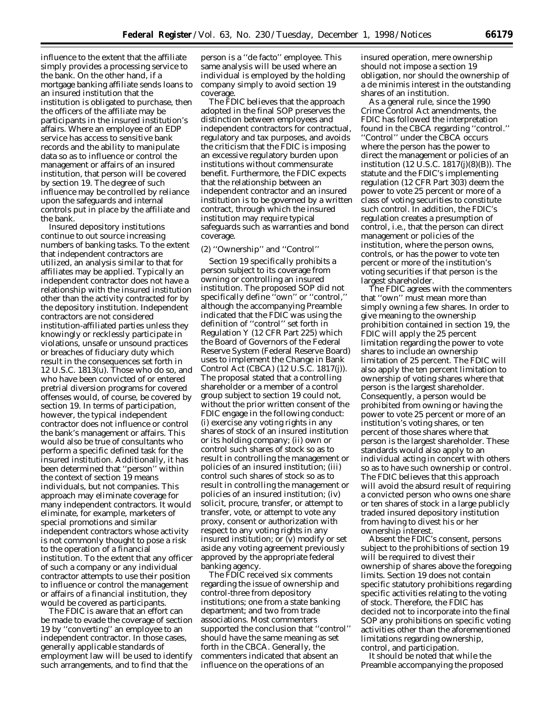influence to the extent that the affiliate simply provides a processing service to the bank. On the other hand, if a mortgage banking affiliate sends loans to an insured institution that the institution is obligated to purchase, then the officers of the affiliate may be participants in the insured institution's affairs. Where an employee of an EDP service has access to sensitive bank records and the ability to manipulate data so as to influence or control the management or affairs of an insured institution, that person will be covered by section 19. The degree of such influence may be controlled by reliance upon the safeguards and internal controls put in place by the affiliate and the bank.

Insured depository institutions continue to out source increasing numbers of banking tasks. To the extent that independent contractors are utilized, an analysis similar to that for affiliates may be applied. Typically an independent contractor does not have a relationship with the insured institution other than the activity contracted for by the depository institution. Independent contractors are not considered institution-affiliated parties unless they knowingly or recklessly participate in violations, unsafe or unsound practices or breaches of fiduciary duty which result in the consequences set forth in 12 U.S.C. 1813(u). Those who do so, and who have been convicted of or entered pretrial diversion programs for covered offenses would, of course, be covered by section 19. In terms of participation, however, the typical independent contractor does not influence or control the bank's management or affairs. This would also be true of consultants who perform a specific defined task for the insured institution. Additionally, it has been determined that ''person'' within the context of section 19 means individuals, but not companies. This approach may eliminate coverage for many independent contractors. It would eliminate, for example, marketers of special promotions and similar independent contractors whose activity is not commonly thought to pose a risk to the operation of a financial institution. To the extent that any officer of such a company or any individual contractor attempts to use their position to influence or control the management or affairs of a financial institution, they would be covered as participants.

The FDIC is aware that an effort can be made to evade the coverage of section 19 by ''converting'' an employee to an independent contractor. In those cases, generally applicable standards of employment law will be used to identify such arrangements, and to find that the

person is a ''de facto'' employee. This same analysis will be used where an individual is employed by the holding company simply to avoid section 19 coverage.

The FDIC believes that the approach adopted in the final SOP preserves the distinction between employees and independent contractors for contractual, regulatory and tax purposes, and avoids the criticism that the FDIC is imposing an excessive regulatory burden upon institutions without commensurate benefit. Furthermore, the FDIC expects that the relationship between an independent contractor and an insured institution is to be governed by a written contract, through which the insured institution may require typical safeguards such as warranties and bond coverage.

# (2) ''Ownership'' and ''Control''

Section 19 specifically prohibits a person subject to its coverage from owning or controlling an insured institution. The proposed SOP did not specifically define ''own'' or ''control,'' although the accompanying Preamble indicated that the FDIC was using the definition of ''control'' set forth in Regulation Y (12 CFR Part 225) which the Board of Governors of the Federal Reserve System (Federal Reserve Board) uses to implement the Change in Bank Control Act (CBCA) (12 U.S.C. 1817(j)). The proposal stated that a controlling shareholder or a member of a control group subject to section 19 could not, without the prior written consent of the FDIC engage in the following conduct: (i) exercise any voting rights in any shares of stock of an insured institution or its holding company; (ii) own or control such shares of stock so as to result in controlling the management or policies of an insured institution; (iii) control such shares of stock so as to result in controlling the management or policies of an insured institution; (iv) solicit, procure, transfer, or attempt to transfer, vote, or attempt to vote any proxy, consent or authorization with respect to any voting rights in any insured institution; or (v) modify or set aside any voting agreement previously approved by the appropriate federal banking agency.

The FDIC received six comments regarding the issue of ownership and control-three from depository institutions; one from a state banking department; and two from trade associations. Most commenters supported the conclusion that ''control'' should have the same meaning as set forth in the CBCA. Generally, the commenters indicated that absent an influence on the operations of an

insured operation, mere ownership should not impose a section 19 obligation, nor should the ownership of a *de minimis* interest in the outstanding shares of an institution.

As a general rule, since the 1990 Crime Control Act amendments, the FDIC has followed the interpretation found in the CBCA regarding ''control.'' ''Control'' under the CBCA occurs where the person has the power to direct the management or policies of an institution (12 U.S.C. 1817(j)(8)(B)). The statute and the FDIC's implementing regulation (12 CFR Part 303) deem the power to vote 25 percent or more of a class of voting securities to constitute such control. In addition, the FDIC's regulation creates a presumption of control, i.e., that the person can direct management or policies of the institution, where the person owns, controls, or has the power to vote ten percent or more of the institution's voting securities if that person is the largest shareholder.

The FDIC agrees with the commenters that ''own'' must mean more than simply owning a few shares. In order to give meaning to the ownership prohibition contained in section 19, the FDIC will apply the 25 percent limitation regarding the power to vote shares to include an ownership limitation of 25 percent. The FDIC will also apply the ten percent limitation to ownership of voting shares where that person is the largest shareholder. Consequently, a person would be prohibited from owning or having the power to vote 25 percent or more of an institution's voting shares, or ten percent of those shares where that person is the largest shareholder. These standards would also apply to an individual acting in concert with others so as to have such ownership or control. The FDIC believes that this approach will avoid the absurd result of requiring a convicted person who owns one share or ten shares of stock in a large publicly traded insured depository institution from having to divest his or her ownership interest.

Absent the FDIC's consent, persons subject to the prohibitions of section 19 will be required to divest their ownership of shares above the foregoing limits. Section 19 does not contain specific statutory prohibitions regarding specific activities relating to the voting of stock. Therefore, the FDIC has decided not to incorporate into the final SOP any prohibitions on specific voting activities other than the aforementioned limitations regarding ownership, control, and participation.

It should be noted that while the Preamble accompanying the proposed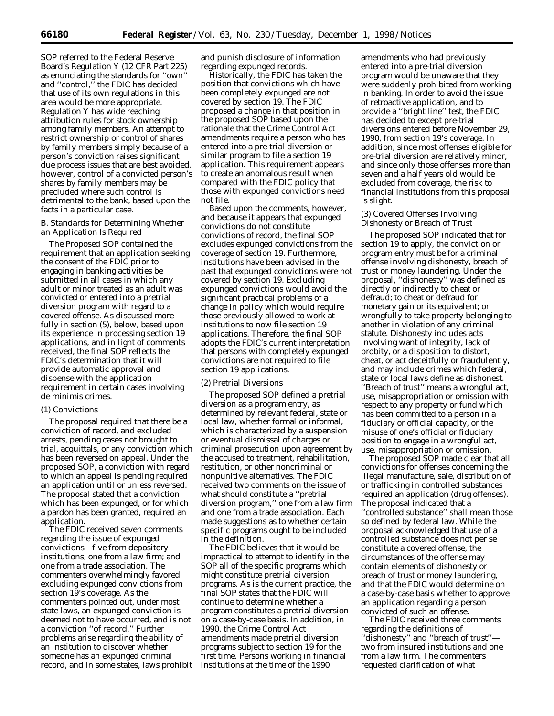SOP referred to the Federal Reserve Board's Regulation Y (12 CFR Part 225) as enunciating the standards for ''own'' and ''control,'' the FDIC has decided that use of its own regulations in this area would be more appropriate. Regulation Y has wide reaching attribution rules for stock ownership among family members. An attempt to restrict ownership or control of shares by family members simply because of a person's conviction raises significant due process issues that are best avoided, however, control of a convicted person's shares by family members may be precluded where such control is detrimental to the bank, based upon the facts in a particular case.

# *B. Standards for Determining Whether an Application Is Required*

The Proposed SOP contained the requirement that an application seeking the consent of the FDIC prior to engaging in banking activities be submitted in all cases in which any adult or minor treated as an adult was convicted or entered into a pretrial diversion program with regard to a covered offense. As discussed more fully in section (5), below, based upon its experience in processing section 19 applications, and in light of comments received, the final SOP reflects the FDIC's determination that it will provide automatic approval and dispense with the application requirement in certain cases involving *de minimis* crimes.

# (1) Convictions

The proposal required that there be a conviction of record, and excluded arrests, pending cases not brought to trial, acquittals, or any conviction which has been reversed on appeal. Under the proposed SOP, a conviction with regard to which an appeal is pending required an application until or unless reversed. The proposal stated that a conviction which has been expunged, or for which a pardon has been granted, required an application.

The FDIC received seven comments regarding the issue of expunged convictions—five from depository institutions; one from a law firm; and one from a trade association. The commenters overwhelmingly favored excluding expunged convictions from section 19's coverage. As the commenters pointed out, under most state laws, an expunged conviction is deemed not to have occurred, and is not a conviction ''of record.'' Further problems arise regarding the ability of an institution to discover whether someone has an expunged criminal record, and in some states, laws prohibit and punish disclosure of information regarding expunged records.

Historically, the FDIC has taken the position that convictions which have been completely expunged are not covered by section 19. The FDIC proposed a change in that position in the proposed SOP based upon the rationale that the Crime Control Act amendments require a person who has entered into a pre-trial diversion or similar program to file a section 19 application. This requirement appears to create an anomalous result when compared with the FDIC policy that those with expunged convictions need not file.

Based upon the comments, however, and because it appears that expunged convictions do not constitute convictions of record, the final SOP excludes expunged convictions from the coverage of section 19. Furthermore, institutions have been advised in the past that expunged convictions were not covered by section 19. Excluding expunged convictions would avoid the significant practical problems of a change in policy which would require those previously allowed to work at institutions to now file section 19 applications. Therefore, the final SOP adopts the FDIC's current interpretation that persons with completely expunged convictions are not required to file section 19 applications.

### (2) Pretrial Diversions

The proposed SOP defined a pretrial diversion as a program entry, as determined by relevant federal, state or local law, whether formal or informal, which is characterized by a suspension or eventual dismissal of charges or criminal prosecution upon agreement by the accused to treatment, rehabilitation, restitution, or other noncriminal or nonpunitive alternatives. The FDIC received two comments on the issue of what should constitute a ''pretrial diversion program,'' one from a law firm and one from a trade association. Each made suggestions as to whether certain specific programs ought to be included in the definition.

The FDIC believes that it would be impractical to attempt to identify in the SOP all of the specific programs which might constitute pretrial diversion programs. As is the current practice, the final SOP states that the FDIC will continue to determine whether a program constitutes a pretrial diversion on a case-by-case basis. In addition, in 1990, the Crime Control Act amendments made pretrial diversion programs subject to section 19 for the first time. Persons working in financial institutions at the time of the 1990

amendments who had previously entered into a pre-trial diversion program would be unaware that they were suddenly prohibited from working in banking. In order to avoid the issue of retroactive application, and to provide a ''bright line'' test, the FDIC has decided to except pre-trial diversions entered before November 29, 1990, from section 19's coverage. In addition, since most offenses eligible for pre-trial diversion are relatively minor, and since only those offenses more than seven and a half years old would be excluded from coverage, the risk to financial institutions from this proposal is slight.

### (3) Covered Offenses Involving Dishonesty or Breach of Trust

The proposed SOP indicated that for section 19 to apply, the conviction or program entry must be for a criminal offense involving dishonesty, breach of trust or money laundering. Under the proposal, ''dishonesty'' was defined as directly or indirectly to cheat or defraud; to cheat or defraud for monetary gain or its equivalent; or wrongfully to take property belonging to another in violation of any criminal statute. Dishonesty includes acts involving want of integrity, lack of probity, or a disposition to distort, cheat, or act deceitfully or fraudulently, and may include crimes which federal, state or local laws define as dishonest. ''Breach of trust'' means a wrongful act, use, misappropriation or omission with respect to any property or fund which has been committed to a person in a fiduciary or official capacity, or the misuse of one's official or fiduciary

use, misappropriation or omission. The proposed SOP made clear that all convictions for offenses concerning the illegal manufacture, sale, distribution of or trafficking in controlled substances required an application (drug offenses). The proposal indicated that a ''controlled substance'' shall mean those so defined by federal law. While the proposal acknowledged that use of a controlled substance does not per se constitute a covered offense, the circumstances of the offense may contain elements of dishonesty or breach of trust or money laundering, and that the FDIC would determine on a case-by-case basis whether to approve an application regarding a person convicted of such an offense.

position to engage in a wrongful act,

The FDIC received three comments regarding the definitions of ''dishonesty'' and ''breach of trust'' two from insured institutions and one from a law firm. The commenters requested clarification of what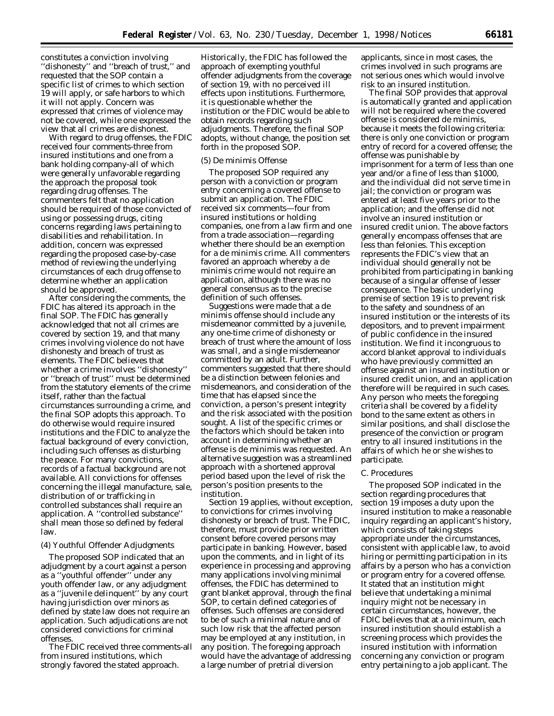constitutes a conviction involving ''dishonesty'' and ''breach of trust,'' and requested that the SOP contain a specific list of crimes to which section 19 will apply, or safe harbors to which it will not apply. Concern was expressed that crimes of violence may not be covered, while one expressed the view that all crimes are dishonest.

With regard to drug offenses, the FDIC received four comments-three from insured institutions and one from a bank holding company-all of which were generally unfavorable regarding the approach the proposal took regarding drug offenses. The commenters felt that no application should be required of those convicted of using or possessing drugs, citing concerns regarding laws pertaining to disabilities and rehabilitation. In addition, concern was expressed regarding the proposed case-by-case method of reviewing the underlying circumstances of each drug offense to determine whether an application should be approved.

After considering the comments, the FDIC has altered its approach in the final SOP. The FDIC has generally acknowledged that not all crimes are covered by section 19, and that many crimes involving violence do not have dishonesty and breach of trust as elements. The FDIC believes that whether a crime involves ''dishonesty'' or ''breach of trust'' must be determined from the statutory elements of the crime itself, rather than the factual circumstances surrounding a crime, and the final SOP adopts this approach. To do otherwise would require insured institutions and the FDIC to analyze the factual background of every conviction, including such offenses as disturbing the peace. For many convictions, records of a factual background are not available. All convictions for offenses concerning the illegal manufacture, sale, distribution of or trafficking in controlled substances shall require an application. A ''controlled substance'' shall mean those so defined by federal law.

### (4) Youthful Offender Adjudgments

The proposed SOP indicated that an adjudgment by a court against a person as a ''youthful offender'' under any youth offender law, or any adjudgment as a ''juvenile delinquent'' by any court having jurisdiction over minors as defined by state law does not require an application. Such adjudications are not considered convictions for criminal offenses.

The FDIC received three comments-all from insured institutions, which strongly favored the stated approach.

Historically, the FDIC has followed the approach of exempting youthful offender adjudgments from the coverage of section 19, with no perceived ill effects upon institutions. Furthermore, it is questionable whether the institution or the FDIC would be able to obtain records regarding such adjudgments. Therefore, the final SOP adopts, without change, the position set forth in the proposed SOP.

#### (5) *De minimis* Offense

The proposed SOP required any person with a conviction or program entry concerning a covered offense to submit an application. The FDIC received six comments—four from insured institutions or holding companies, one from a law firm and one from a trade association—regarding whether there should be an exemption for a *de minimis* crime. All commenters favored an approach whereby a *de minimis* crime would not require an application, although there was no general consensus as to the precise definition of such offenses.

Suggestions were made that a *de minimis* offense should include any misdemeanor committed by a juvenile, any one-time crime of dishonesty or breach of trust where the amount of loss was small, and a single misdemeanor committed by an adult. Further, commenters suggested that there should be a distinction between felonies and misdemeanors, and consideration of the time that has elapsed since the conviction, a person's present integrity and the risk associated with the position sought. A list of the specific crimes or the factors which should be taken into account in determining whether an offense is *de minimis* was requested. An alternative suggestion was a streamlined approach with a shortened approval period based upon the level of risk the person's position presents to the institution.

Section 19 applies, without exception, to convictions for crimes involving dishonesty or breach of trust. The FDIC, therefore, must provide prior written consent before covered persons may participate in banking. However, based upon the comments, and in light of its experience in processing and approving many applications involving minimal offenses, the FDIC has determined to grant blanket approval, through the final SOP, to certain defined categories of offenses. Such offenses are considered to be of such a minimal nature and of such low risk that the affected person may be employed at any institution, in any position. The foregoing approach would have the advantage of addressing a large number of pretrial diversion

applicants, since in most cases, the crimes involved in such programs are not serious ones which would involve risk to an insured institution.

The final SOP provides that approval is automatically granted and application will not be required where the covered offense is considered *de minimis,* because it meets the following criteria: there is only one conviction or program entry of record for a covered offense; the offense was punishable by imprisonment for a term of less than one year and/or a fine of less than \$1000, and the individual did not serve time in jail; the conviction or program was entered at least five years prior to the application; and the offense did not involve an insured institution or insured credit union. The above factors generally encompass offenses that are less than felonies. This exception represents the FDIC's view that an individual should generally not be prohibited from participating in banking because of a singular offense of lesser consequence. The basic underlying premise of section 19 is to prevent risk to the safety and soundness of an insured institution or the interests of its depositors, and to prevent impairment of public confidence in the insured institution. We find it incongruous to accord blanket approval to individuals who have previously committed an offense against an insured institution or insured credit union, and an application therefore will be required in such cases. Any person who meets the foregoing criteria shall be covered by a fidelity bond to the same extent as others in similar positions, and shall disclose the presence of the conviction or program entry to all insured institutions in the affairs of which he or she wishes to participate.

#### *C. Procedures*

The proposed SOP indicated in the section regarding procedures that section 19 imposes a duty upon the insured institution to make a reasonable inquiry regarding an applicant's history, which consists of taking steps appropriate under the circumstances, consistent with applicable law, to avoid hiring or permitting participation in its affairs by a person who has a conviction or program entry for a covered offense. It stated that an institution might believe that undertaking a minimal inquiry might not be necessary in certain circumstances, however, the FDIC believes that at a minimum, each insured institution should establish a screening process which provides the insured institution with information concerning any conviction or program entry pertaining to a job applicant. The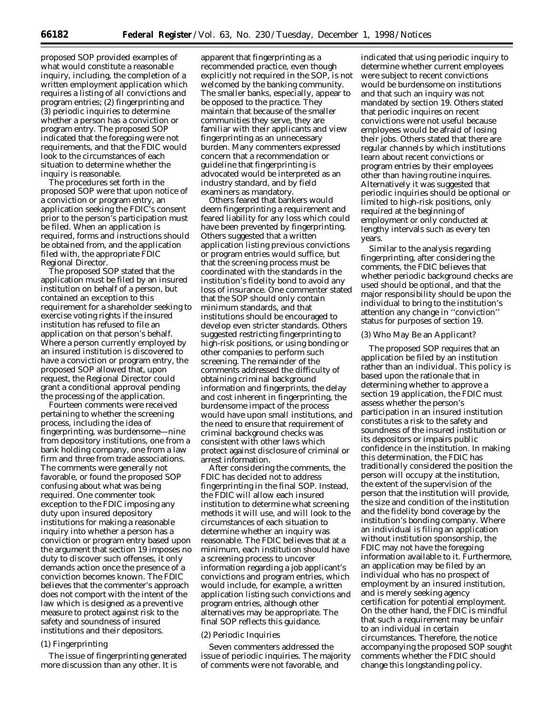proposed SOP provided examples of what would constitute a reasonable inquiry, including, the completion of a written employment application which requires a listing of all convictions and program entries; (2) fingerprinting and (3) periodic inquiries to determine whether a person has a conviction or program entry. The proposed SOP indicated that the foregoing were not requirements, and that the FDIC would look to the circumstances of each situation to determine whether the inquiry is reasonable.

The procedures set forth in the proposed SOP were that upon notice of a conviction or program entry, an application seeking the FDIC's consent prior to the person's participation must be filed. When an application is required, forms and instructions should be obtained from, and the application filed with, the appropriate FDIC Regional Director.

The proposed SOP stated that the application must be filed by an insured institution on behalf of a person, but contained an exception to this requirement for a shareholder seeking to exercise voting rights if the insured institution has refused to file an application on that person's behalf. Where a person currently employed by an insured institution is discovered to have a conviction or program entry, the proposed SOP allowed that, upon request, the Regional Director could grant a conditional approval pending the processing of the application.

Fourteen comments were received pertaining to whether the screening process, including the idea of fingerprinting, was burdensome—nine from depository institutions, one from a bank holding company, one from a law firm and three from trade associations. The comments were generally not favorable, or found the proposed SOP confusing about what was being required. One commenter took exception to the FDIC imposing any duty upon insured depository institutions for making a reasonable inquiry into whether a person has a conviction or program entry based upon the argument that section 19 imposes no duty to discover such offenses, it only demands action once the presence of a conviction becomes known. The FDIC believes that the commenter's approach does not comport with the intent of the law which is designed as a preventive measure to protect against risk to the safety and soundness of insured institutions and their depositors.

### (1) Fingerprinting

The issue of fingerprinting generated more discussion than any other. It is

apparent that fingerprinting as a recommended practice, even though explicitly not required in the SOP, is not welcomed by the banking community. The smaller banks, especially, appear to be opposed to the practice. They maintain that because of the smaller communities they serve, they are familiar with their applicants and view fingerprinting as an unnecessary burden. Many commenters expressed concern that a recommendation or guideline that fingerprinting is advocated would be interpreted as an industry standard, and by field examiners as mandatory.

Others feared that bankers would deem fingerprinting a requirement and feared liability for any loss which could have been prevented by fingerprinting. Others suggested that a written application listing previous convictions or program entries would suffice, but that the screening process must be coordinated with the standards in the institution's fidelity bond to avoid any loss of insurance. One commenter stated that the SOP should only contain minimum standards, and that institutions should be encouraged to develop even stricter standards. Others suggested restricting fingerprinting to high-risk positions, or using bonding or other companies to perform such screening. The remainder of the comments addressed the difficulty of obtaining criminal background information and fingerprints, the delay and cost inherent in fingerprinting, the burdensome impact of the process would have upon small institutions, and the need to ensure that requirement of criminal background checks was consistent with other laws which protect against disclosure of criminal or arrest information.

After considering the comments, the FDIC has decided not to address fingerprinting in the final SOP. Instead, the FDIC will allow each insured institution to determine what screening methods it will use, and will look to the circumstances of each situation to determine whether an inquiry was reasonable. The FDIC believes that at a minimum, each institution should have a screening process to uncover information regarding a job applicant's convictions and program entries, which would include, for example, a written application listing such convictions and program entries, although other alternatives may be appropriate. The final SOP reflects this guidance.

### (2) Periodic Inquiries

Seven commenters addressed the issue of periodic inquiries. The majority of comments were not favorable, and

indicated that using periodic inquiry to determine whether current employees were subject to recent convictions would be burdensome on institutions and that such an inquiry was not mandated by section 19. Others stated that periodic inquires on recent convictions were not useful because employees would be afraid of losing their jobs. Others stated that there are regular channels by which institutions learn about recent convictions or program entries by their employees other than having routine inquires. Alternatively it was suggested that periodic inquiries should be optional or limited to high-risk positions, only required at the beginning of employment or only conducted at lengthy intervals such as every ten years.

Similar to the analysis regarding fingerprinting, after considering the comments, the FDIC believes that whether periodic background checks are used should be optional, and that the major responsibility should be upon the individual to bring to the institution's attention any change in ''conviction'' status for purposes of section 19.

### (3) Who May Be an Applicant?

The proposed SOP requires that an application be filed by an institution rather than an individual. This policy is based upon the rationale that in determining whether to approve a section 19 application, the FDIC must assess whether the person's participation in an insured institution constitutes a risk to the safety and soundness of the insured institution or its depositors or impairs public confidence in the institution. In making this determination, the FDIC has traditionally considered the position the person will occupy at the institution, the extent of the supervision of the person that the institution will provide, the size and condition of the institution and the fidelity bond coverage by the institution's bonding company. Where an individual is filing an application without institution sponsorship, the FDIC may not have the foregoing information available to it. Furthermore, an application may be filed by an individual who has no prospect of employment by an insured institution, and is merely seeking agency certification for potential employment. On the other hand, the FDIC is mindful that such a requirement may be unfair to an individual in certain circumstances. Therefore, the notice accompanying the proposed SOP sought comments whether the FDIC should change this longstanding policy.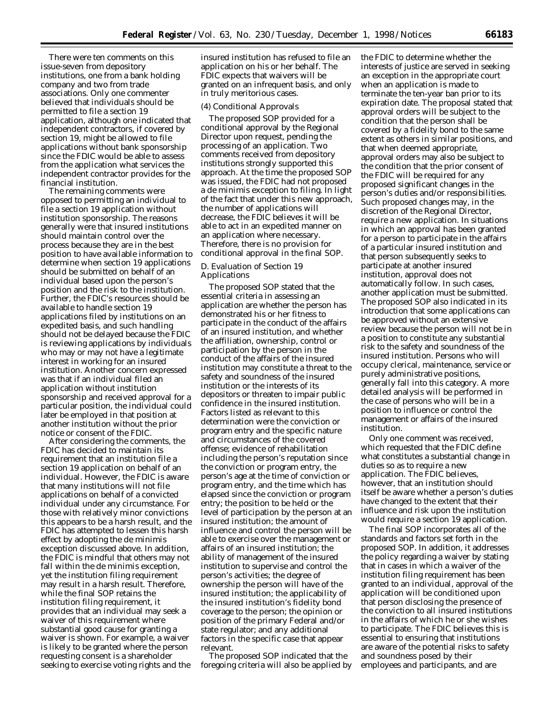There were ten comments on this issue-seven from depository institutions, one from a bank holding company and two from trade associations. Only one commenter believed that individuals should be permitted to file a section 19 application, although one indicated that independent contractors, if covered by section 19, might be allowed to file applications without bank sponsorship since the FDIC would be able to assess from the application what services the independent contractor provides for the financial institution.

The remaining comments were opposed to permitting an individual to file a section 19 application without institution sponsorship. The reasons generally were that insured institutions should maintain control over the process because they are in the best position to have available information to determine when section 19 applications should be submitted on behalf of an individual based upon the person's position and the risk to the institution. Further, the FDIC's resources should be available to handle section 19 applications filed by institutions on an expedited basis, and such handling should not be delayed because the FDIC is reviewing applications by individuals who may or may not have a legitimate interest in working for an insured institution. Another concern expressed was that if an individual filed an application without institution sponsorship and received approval for a particular position, the individual could later be employed in that position at another institution without the prior notice or consent of the FDIC.

After considering the comments, the FDIC has decided to maintain its requirement that an institution file a section 19 application on behalf of an individual. However, the FDIC is aware that many institutions will not file applications on behalf of a convicted individual under any circumstance. For those with relatively minor convictions this appears to be a harsh result, and the FDIC has attempted to lessen this harsh effect by adopting the de minimis exception discussed above. In addition, the FDIC is mindful that others may not fall within the de minimis exception, yet the institution filing requirement may result in a harsh result. Therefore, while the final SOP retains the institution filing requirement, it provides that an individual may seek a waiver of this requirement where substantial good cause for granting a waiver is shown. For example, a waiver is likely to be granted where the person requesting consent is a shareholder seeking to exercise voting rights and the

insured institution has refused to file an application on his or her behalf. The FDIC expects that waivers will be granted on an infrequent basis, and only in truly meritorious cases.

#### (4) Conditional Approvals

The proposed SOP provided for a conditional approval by the Regional Director upon request, pending the processing of an application. Two comments received from depository institutions strongly supported this approach. At the time the proposed SOP was issued, the FDIC had not proposed a de minimis exception to filing. In light of the fact that under this new approach, the number of applications will decrease, the FDIC believes it will be able to act in an expedited manner on an application where necessary. Therefore, there is no provision for conditional approval in the final SOP.

## *D. Evaluation of Section 19 Applications*

The proposed SOP stated that the essential criteria in assessing an application are whether the person has demonstrated his or her fitness to participate in the conduct of the affairs of an insured institution, and whether the affiliation, ownership, control or participation by the person in the conduct of the affairs of the insured institution may constitute a threat to the safety and soundness of the insured institution or the interests of its depositors or threaten to impair public confidence in the insured institution. Factors listed as relevant to this determination were the conviction or program entry and the specific nature and circumstances of the covered offense; evidence of rehabilitation including the person's reputation since the conviction or program entry, the person's age at the time of conviction or program entry, and the time which has elapsed since the conviction or program entry; the position to be held or the level of participation by the person at an insured institution; the amount of influence and control the person will be able to exercise over the management or affairs of an insured institution; the ability of management of the insured institution to supervise and control the person's activities; the degree of ownership the person will have of the insured institution; the applicability of the insured institution's fidelity bond coverage to the person; the opinion or position of the primary Federal and/or state regulator; and any additional factors in the specific case that appear relevant.

The proposed SOP indicated that the foregoing criteria will also be applied by

the FDIC to determine whether the interests of justice are served in seeking an exception in the appropriate court when an application is made to terminate the ten-year ban prior to its expiration date. The proposal stated that approval orders will be subject to the condition that the person shall be covered by a fidelity bond to the same extent as others in similar positions, and that when deemed appropriate, approval orders may also be subject to the condition that the prior consent of the FDIC will be required for any proposed significant changes in the person's duties and/or responsibilities. Such proposed changes may, in the discretion of the Regional Director, require a new application. In situations in which an approval has been granted for a person to participate in the affairs of a particular insured institution and that person subsequently seeks to participate at another insured institution, approval does not automatically follow. In such cases, another application must be submitted. The proposed SOP also indicated in its introduction that some applications can be approved without an extensive review because the person will not be in a position to constitute any substantial risk to the safety and soundness of the insured institution. Persons who will occupy clerical, maintenance, service or purely administrative positions, generally fall into this category. A more detailed analysis will be performed in the case of persons who will be in a position to influence or control the management or affairs of the insured institution.

Only one comment was received, which requested that the FDIC define what constitutes a substantial change in duties so as to require a new application. The FDIC believes, however, that an institution should itself be aware whether a person's duties have changed to the extent that their influence and risk upon the institution would require a section 19 application.

The final SOP incorporates all of the standards and factors set forth in the proposed SOP. In addition, it addresses the policy regarding a waiver by stating that in cases in which a waiver of the institution filing requirement has been granted to an individual, approval of the application will be conditioned upon that person disclosing the presence of the conviction to all insured institutions in the affairs of which he or she wishes to participate. The FDIC believes this is essential to ensuring that institutions are aware of the potential risks to safety and soundness posed by their employees and participants, and are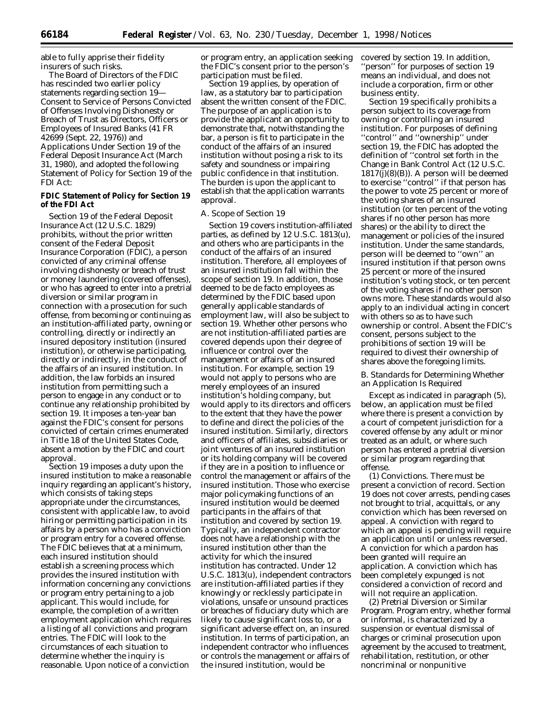able to fully apprise their fidelity insurers of such risks.

The Board of Directors of the FDIC has rescinded two earlier policy statements regarding section 19— Consent to Service of Persons Convicted of Offenses Involving Dishonesty or Breach of Trust as Directors, Officers or Employees of Insured Banks (41 FR 42699 (Sept. 22, 1976)) and Applications Under Section 19 of the Federal Deposit Insurance Act (March 31, 1980), and adopted the following Statement of Policy for Section 19 of the FDI Act:

# **FDIC Statement of Policy for Section 19 of the FDI Act**

Section 19 of the Federal Deposit Insurance Act (12 U.S.C. 1829) prohibits, without the prior written consent of the Federal Deposit Insurance Corporation (FDIC), a person convicted of any criminal offense involving dishonesty or breach of trust or money laundering (covered offenses), or who has agreed to enter into a pretrial diversion or similar program in connection with a prosecution for such offense, from becoming or continuing as an institution-affiliated party, owning or controlling, directly or indirectly an insured depository institution (insured institution), or otherwise participating, directly or indirectly, in the conduct of the affairs of an insured institution. In addition, the law forbids an insured institution from permitting such a person to engage in any conduct or to continue any relationship prohibited by section 19. It imposes a ten-year ban against the FDIC's consent for persons convicted of certain crimes enumerated in Title 18 of the United States Code, absent a motion by the FDIC and court approval.

Section 19 imposes a duty upon the insured institution to make a reasonable inquiry regarding an applicant's history, which consists of taking steps appropriate under the circumstances, consistent with applicable law, to avoid hiring or permitting participation in its affairs by a person who has a conviction or program entry for a covered offense. The FDIC believes that at a minimum, each insured institution should establish a screening process which provides the insured institution with information concerning any convictions or program entry pertaining to a job applicant. This would include, for example, the completion of a written employment application which requires a listing of all convictions and program entries. The FDIC will look to the circumstances of each situation to determine whether the inquiry is reasonable. Upon notice of a conviction

or program entry, an application seeking the FDIC's consent prior to the person's participation must be filed.

Section 19 applies, by operation of law, as a statutory bar to participation absent the written consent of the FDIC. The purpose of an application is to provide the applicant an opportunity to demonstrate that, notwithstanding the bar, a person is fit to participate in the conduct of the affairs of an insured institution without posing a risk to its safety and soundness or impairing public confidence in that institution. The burden is upon the applicant to establish that the application warrants approval.

### *A. Scope of Section 19*

Section 19 covers institution-affiliated parties, as defined by 12 U.S.C. 1813(u), and others who are participants in the conduct of the affairs of an insured institution. Therefore, all employees of an insured institution fall within the scope of section 19. In addition, those deemed to be de facto employees as determined by the FDIC based upon generally applicable standards of employment law, will also be subject to section 19. Whether other persons who are not institution-affiliated parties are covered depends upon their degree of influence or control over the management or affairs of an insured institution. For example, section 19 would not apply to persons who are merely employees of an insured institution's holding company, but would apply to its directors and officers to the extent that they have the power to define and direct the policies of the insured institution. Similarly, directors and officers of affiliates, subsidiaries or joint ventures of an insured institution or its holding company will be covered if they are in a position to influence or control the management or affairs of the insured institution. Those who exercise major policymaking functions of an insured institution would be deemed participants in the affairs of that institution and covered by section 19. Typically, an independent contractor does not have a relationship with the insured institution other than the activity for which the insured institution has contracted. Under 12 U.S.C. 1813(u), independent contractors are institution-affiliated parties if they knowingly or recklessly participate in violations, unsafe or unsound practices or breaches of fiduciary duty which are likely to cause significant loss to, or a significant adverse effect on, an insured institution. In terms of participation, an independent contractor who influences or controls the management or affairs of the insured institution, would be

covered by section 19. In addition, ''person'' for purposes of section 19 means an individual, and does not include a corporation, firm or other business entity.

Section 19 specifically prohibits a person subject to its coverage from owning or controlling an insured institution. For purposes of defining ''control'' and ''ownership'' under section 19, the FDIC has adopted the definition of ''control set forth in the Change in Bank Control Act (12 U.S.C.  $1817(j)(8)(B)$ . A person will be deemed to exercise ''control'' if that person has the power to vote 25 percent or more of the voting shares of an insured institution (or ten percent of the voting shares if no other person has more shares) or the ability to direct the management or policies of the insured institution. Under the same standards, person will be deemed to ''own'' an insured institution if that person owns 25 percent or more of the insured institution's voting stock, or ten percent of the voting shares if no other person owns more. These standards would also apply to an individual acting in concert with others so as to have such ownership or control. Absent the FDIC's consent, persons subject to the prohibitions of section 19 will be required to divest their ownership of shares above the foregoing limits.

# *B. Standards for Determining Whether an Application Is Required*

Except as indicated in paragraph (5), below, an application must be filed where there is present a conviction by a court of competent jurisdiction for a covered offense by any adult or minor treated as an adult, or where such person has entered a pretrial diversion or similar program regarding that offense.

(1) Convictions. There must be present a conviction of record. Section 19 does not cover arrests, pending cases not brought to trial, acquittals, or any conviction which has been reversed on appeal. A conviction with regard to which an appeal is pending will require an application until or unless reversed. A conviction for which a pardon has been granted will require an application. A conviction which has been completely expunged is not considered a conviction of record and will not require an application.

(2) Pretrial Diversion or Similar Program. Program entry, whether formal or informal, is characterized by a suspension or eventual dismissal of charges or criminal prosecution upon agreement by the accused to treatment, rehabilitation, restitution, or other noncriminal or nonpunitive